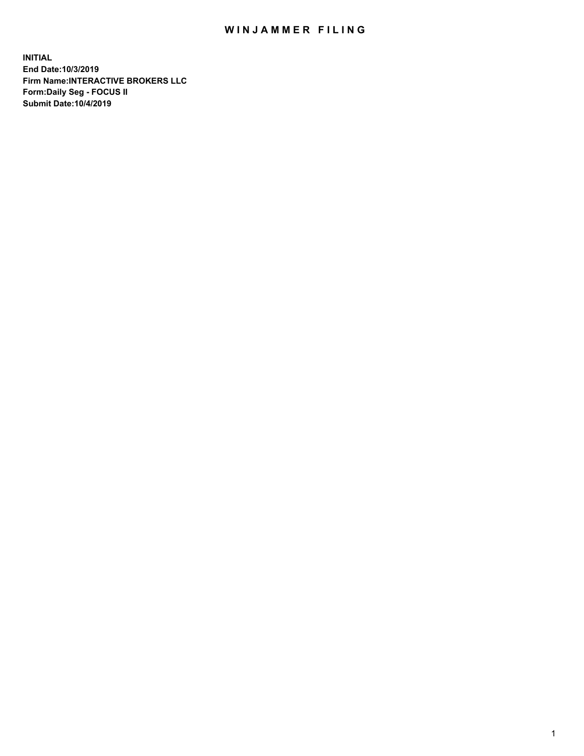## WIN JAMMER FILING

**INITIAL End Date:10/3/2019 Firm Name:INTERACTIVE BROKERS LLC Form:Daily Seg - FOCUS II Submit Date:10/4/2019**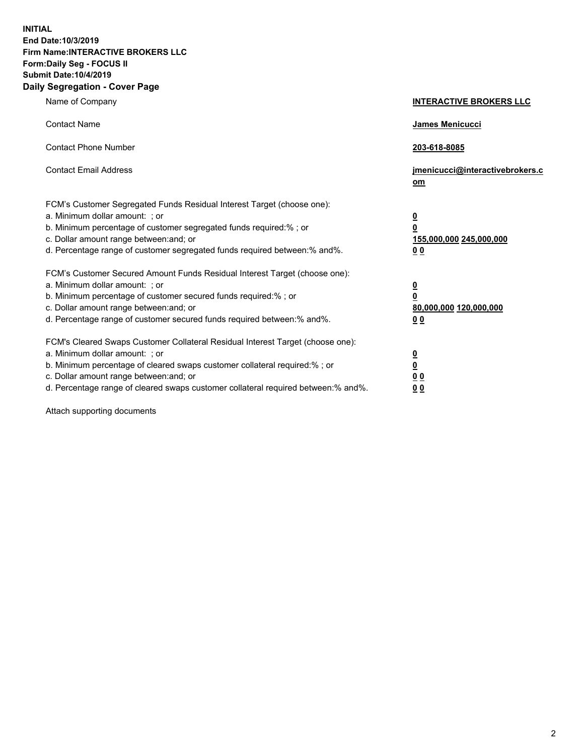**INITIAL End Date:10/3/2019 Firm Name:INTERACTIVE BROKERS LLC Form:Daily Seg - FOCUS II Submit Date:10/4/2019 Daily Segregation - Cover Page**

| Name of Company                                                                                                                                                                                                                                                                                                                | <b>INTERACTIVE BROKERS LLC</b>                                                                  |
|--------------------------------------------------------------------------------------------------------------------------------------------------------------------------------------------------------------------------------------------------------------------------------------------------------------------------------|-------------------------------------------------------------------------------------------------|
| <b>Contact Name</b>                                                                                                                                                                                                                                                                                                            | James Menicucci                                                                                 |
| <b>Contact Phone Number</b>                                                                                                                                                                                                                                                                                                    | 203-618-8085                                                                                    |
| <b>Contact Email Address</b>                                                                                                                                                                                                                                                                                                   | jmenicucci@interactivebrokers.c<br>om                                                           |
| FCM's Customer Segregated Funds Residual Interest Target (choose one):<br>a. Minimum dollar amount: ; or<br>b. Minimum percentage of customer segregated funds required:% ; or<br>c. Dollar amount range between: and; or<br>d. Percentage range of customer segregated funds required between:% and%.                         | $\overline{\mathbf{0}}$<br>$\overline{\mathbf{0}}$<br>155,000,000 245,000,000<br>0 <sub>0</sub> |
| FCM's Customer Secured Amount Funds Residual Interest Target (choose one):<br>a. Minimum dollar amount: ; or<br>b. Minimum percentage of customer secured funds required:% ; or<br>c. Dollar amount range between: and; or<br>d. Percentage range of customer secured funds required between:% and%.                           | $\overline{\mathbf{0}}$<br>0<br>80,000,000 120,000,000<br>0 <sub>0</sub>                        |
| FCM's Cleared Swaps Customer Collateral Residual Interest Target (choose one):<br>a. Minimum dollar amount: ; or<br>b. Minimum percentage of cleared swaps customer collateral required:% ; or<br>c. Dollar amount range between: and; or<br>d. Percentage range of cleared swaps customer collateral required between:% and%. | $\overline{\mathbf{0}}$<br><u>0</u><br>$\underline{0}$ $\underline{0}$<br>00                    |

Attach supporting documents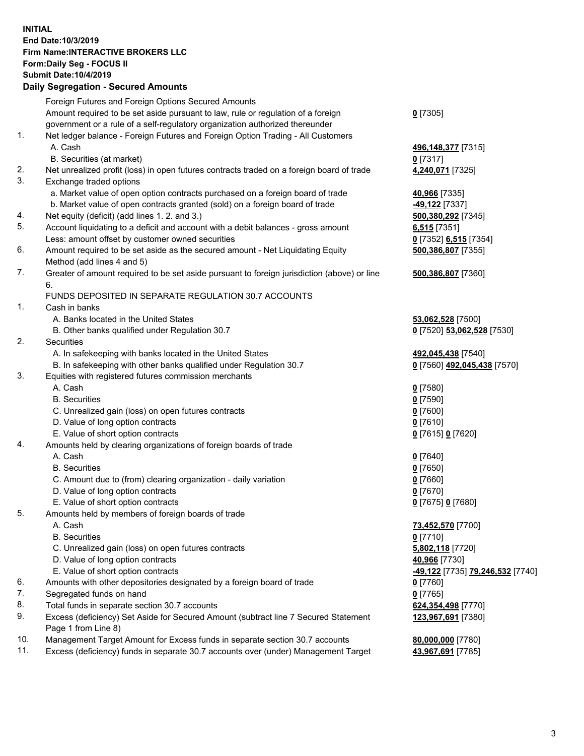## **INITIAL End Date:10/3/2019 Firm Name:INTERACTIVE BROKERS LLC Form:Daily Seg - FOCUS II Submit Date:10/4/2019 Daily Segregation - Secured Amounts**

| Dany Segregation - Secured Amounts                                                        |                                                                                                                                                                                                                                                                                                                                                                                                                                                                                                                                                                                                                                                                                                                                                                                                                                                                                                                                                                                                                                                                                                                                                                                                                                                                                                                                                                                                                                                                                                                                                                                                                                                                                                                                                                                                                                                                    |
|-------------------------------------------------------------------------------------------|--------------------------------------------------------------------------------------------------------------------------------------------------------------------------------------------------------------------------------------------------------------------------------------------------------------------------------------------------------------------------------------------------------------------------------------------------------------------------------------------------------------------------------------------------------------------------------------------------------------------------------------------------------------------------------------------------------------------------------------------------------------------------------------------------------------------------------------------------------------------------------------------------------------------------------------------------------------------------------------------------------------------------------------------------------------------------------------------------------------------------------------------------------------------------------------------------------------------------------------------------------------------------------------------------------------------------------------------------------------------------------------------------------------------------------------------------------------------------------------------------------------------------------------------------------------------------------------------------------------------------------------------------------------------------------------------------------------------------------------------------------------------------------------------------------------------------------------------------------------------|
| Foreign Futures and Foreign Options Secured Amounts                                       |                                                                                                                                                                                                                                                                                                                                                                                                                                                                                                                                                                                                                                                                                                                                                                                                                                                                                                                                                                                                                                                                                                                                                                                                                                                                                                                                                                                                                                                                                                                                                                                                                                                                                                                                                                                                                                                                    |
| Amount required to be set aside pursuant to law, rule or regulation of a foreign          | $0$ [7305]                                                                                                                                                                                                                                                                                                                                                                                                                                                                                                                                                                                                                                                                                                                                                                                                                                                                                                                                                                                                                                                                                                                                                                                                                                                                                                                                                                                                                                                                                                                                                                                                                                                                                                                                                                                                                                                         |
| government or a rule of a self-regulatory organization authorized thereunder              |                                                                                                                                                                                                                                                                                                                                                                                                                                                                                                                                                                                                                                                                                                                                                                                                                                                                                                                                                                                                                                                                                                                                                                                                                                                                                                                                                                                                                                                                                                                                                                                                                                                                                                                                                                                                                                                                    |
| Net ledger balance - Foreign Futures and Foreign Option Trading - All Customers           |                                                                                                                                                                                                                                                                                                                                                                                                                                                                                                                                                                                                                                                                                                                                                                                                                                                                                                                                                                                                                                                                                                                                                                                                                                                                                                                                                                                                                                                                                                                                                                                                                                                                                                                                                                                                                                                                    |
| A. Cash                                                                                   | 496, 148, 377 [7315]                                                                                                                                                                                                                                                                                                                                                                                                                                                                                                                                                                                                                                                                                                                                                                                                                                                                                                                                                                                                                                                                                                                                                                                                                                                                                                                                                                                                                                                                                                                                                                                                                                                                                                                                                                                                                                               |
| B. Securities (at market)                                                                 | $0$ [7317]                                                                                                                                                                                                                                                                                                                                                                                                                                                                                                                                                                                                                                                                                                                                                                                                                                                                                                                                                                                                                                                                                                                                                                                                                                                                                                                                                                                                                                                                                                                                                                                                                                                                                                                                                                                                                                                         |
| Net unrealized profit (loss) in open futures contracts traded on a foreign board of trade | 4,240,071 [7325]                                                                                                                                                                                                                                                                                                                                                                                                                                                                                                                                                                                                                                                                                                                                                                                                                                                                                                                                                                                                                                                                                                                                                                                                                                                                                                                                                                                                                                                                                                                                                                                                                                                                                                                                                                                                                                                   |
| Exchange traded options                                                                   |                                                                                                                                                                                                                                                                                                                                                                                                                                                                                                                                                                                                                                                                                                                                                                                                                                                                                                                                                                                                                                                                                                                                                                                                                                                                                                                                                                                                                                                                                                                                                                                                                                                                                                                                                                                                                                                                    |
| a. Market value of open option contracts purchased on a foreign board of trade            | 40,966 [7335]                                                                                                                                                                                                                                                                                                                                                                                                                                                                                                                                                                                                                                                                                                                                                                                                                                                                                                                                                                                                                                                                                                                                                                                                                                                                                                                                                                                                                                                                                                                                                                                                                                                                                                                                                                                                                                                      |
| b. Market value of open contracts granted (sold) on a foreign board of trade              | -49,122 [7337]                                                                                                                                                                                                                                                                                                                                                                                                                                                                                                                                                                                                                                                                                                                                                                                                                                                                                                                                                                                                                                                                                                                                                                                                                                                                                                                                                                                                                                                                                                                                                                                                                                                                                                                                                                                                                                                     |
|                                                                                           | 500,380,292 [7345]                                                                                                                                                                                                                                                                                                                                                                                                                                                                                                                                                                                                                                                                                                                                                                                                                                                                                                                                                                                                                                                                                                                                                                                                                                                                                                                                                                                                                                                                                                                                                                                                                                                                                                                                                                                                                                                 |
|                                                                                           | $6,515$ [7351]                                                                                                                                                                                                                                                                                                                                                                                                                                                                                                                                                                                                                                                                                                                                                                                                                                                                                                                                                                                                                                                                                                                                                                                                                                                                                                                                                                                                                                                                                                                                                                                                                                                                                                                                                                                                                                                     |
|                                                                                           | 0 [7352] 6,515 [7354]                                                                                                                                                                                                                                                                                                                                                                                                                                                                                                                                                                                                                                                                                                                                                                                                                                                                                                                                                                                                                                                                                                                                                                                                                                                                                                                                                                                                                                                                                                                                                                                                                                                                                                                                                                                                                                              |
|                                                                                           | 500,386,807 [7355]                                                                                                                                                                                                                                                                                                                                                                                                                                                                                                                                                                                                                                                                                                                                                                                                                                                                                                                                                                                                                                                                                                                                                                                                                                                                                                                                                                                                                                                                                                                                                                                                                                                                                                                                                                                                                                                 |
|                                                                                           |                                                                                                                                                                                                                                                                                                                                                                                                                                                                                                                                                                                                                                                                                                                                                                                                                                                                                                                                                                                                                                                                                                                                                                                                                                                                                                                                                                                                                                                                                                                                                                                                                                                                                                                                                                                                                                                                    |
|                                                                                           | 500,386,807 [7360]                                                                                                                                                                                                                                                                                                                                                                                                                                                                                                                                                                                                                                                                                                                                                                                                                                                                                                                                                                                                                                                                                                                                                                                                                                                                                                                                                                                                                                                                                                                                                                                                                                                                                                                                                                                                                                                 |
| 6.                                                                                        |                                                                                                                                                                                                                                                                                                                                                                                                                                                                                                                                                                                                                                                                                                                                                                                                                                                                                                                                                                                                                                                                                                                                                                                                                                                                                                                                                                                                                                                                                                                                                                                                                                                                                                                                                                                                                                                                    |
|                                                                                           |                                                                                                                                                                                                                                                                                                                                                                                                                                                                                                                                                                                                                                                                                                                                                                                                                                                                                                                                                                                                                                                                                                                                                                                                                                                                                                                                                                                                                                                                                                                                                                                                                                                                                                                                                                                                                                                                    |
| Cash in banks                                                                             |                                                                                                                                                                                                                                                                                                                                                                                                                                                                                                                                                                                                                                                                                                                                                                                                                                                                                                                                                                                                                                                                                                                                                                                                                                                                                                                                                                                                                                                                                                                                                                                                                                                                                                                                                                                                                                                                    |
|                                                                                           | 53,062,528 [7500]                                                                                                                                                                                                                                                                                                                                                                                                                                                                                                                                                                                                                                                                                                                                                                                                                                                                                                                                                                                                                                                                                                                                                                                                                                                                                                                                                                                                                                                                                                                                                                                                                                                                                                                                                                                                                                                  |
|                                                                                           | 0 [7520] 53,062,528 [7530]                                                                                                                                                                                                                                                                                                                                                                                                                                                                                                                                                                                                                                                                                                                                                                                                                                                                                                                                                                                                                                                                                                                                                                                                                                                                                                                                                                                                                                                                                                                                                                                                                                                                                                                                                                                                                                         |
|                                                                                           |                                                                                                                                                                                                                                                                                                                                                                                                                                                                                                                                                                                                                                                                                                                                                                                                                                                                                                                                                                                                                                                                                                                                                                                                                                                                                                                                                                                                                                                                                                                                                                                                                                                                                                                                                                                                                                                                    |
|                                                                                           | 492,045,438 [7540]                                                                                                                                                                                                                                                                                                                                                                                                                                                                                                                                                                                                                                                                                                                                                                                                                                                                                                                                                                                                                                                                                                                                                                                                                                                                                                                                                                                                                                                                                                                                                                                                                                                                                                                                                                                                                                                 |
|                                                                                           | 0 [7560] 492,045,438 [7570]                                                                                                                                                                                                                                                                                                                                                                                                                                                                                                                                                                                                                                                                                                                                                                                                                                                                                                                                                                                                                                                                                                                                                                                                                                                                                                                                                                                                                                                                                                                                                                                                                                                                                                                                                                                                                                        |
|                                                                                           |                                                                                                                                                                                                                                                                                                                                                                                                                                                                                                                                                                                                                                                                                                                                                                                                                                                                                                                                                                                                                                                                                                                                                                                                                                                                                                                                                                                                                                                                                                                                                                                                                                                                                                                                                                                                                                                                    |
|                                                                                           | $0$ [7580]                                                                                                                                                                                                                                                                                                                                                                                                                                                                                                                                                                                                                                                                                                                                                                                                                                                                                                                                                                                                                                                                                                                                                                                                                                                                                                                                                                                                                                                                                                                                                                                                                                                                                                                                                                                                                                                         |
|                                                                                           | $0$ [7590]                                                                                                                                                                                                                                                                                                                                                                                                                                                                                                                                                                                                                                                                                                                                                                                                                                                                                                                                                                                                                                                                                                                                                                                                                                                                                                                                                                                                                                                                                                                                                                                                                                                                                                                                                                                                                                                         |
|                                                                                           | $0$ [7600]                                                                                                                                                                                                                                                                                                                                                                                                                                                                                                                                                                                                                                                                                                                                                                                                                                                                                                                                                                                                                                                                                                                                                                                                                                                                                                                                                                                                                                                                                                                                                                                                                                                                                                                                                                                                                                                         |
|                                                                                           | $0$ [7610]                                                                                                                                                                                                                                                                                                                                                                                                                                                                                                                                                                                                                                                                                                                                                                                                                                                                                                                                                                                                                                                                                                                                                                                                                                                                                                                                                                                                                                                                                                                                                                                                                                                                                                                                                                                                                                                         |
|                                                                                           | 0 [7615] 0 [7620]                                                                                                                                                                                                                                                                                                                                                                                                                                                                                                                                                                                                                                                                                                                                                                                                                                                                                                                                                                                                                                                                                                                                                                                                                                                                                                                                                                                                                                                                                                                                                                                                                                                                                                                                                                                                                                                  |
|                                                                                           |                                                                                                                                                                                                                                                                                                                                                                                                                                                                                                                                                                                                                                                                                                                                                                                                                                                                                                                                                                                                                                                                                                                                                                                                                                                                                                                                                                                                                                                                                                                                                                                                                                                                                                                                                                                                                                                                    |
|                                                                                           | $0$ [7640]                                                                                                                                                                                                                                                                                                                                                                                                                                                                                                                                                                                                                                                                                                                                                                                                                                                                                                                                                                                                                                                                                                                                                                                                                                                                                                                                                                                                                                                                                                                                                                                                                                                                                                                                                                                                                                                         |
|                                                                                           | $0$ [7650]                                                                                                                                                                                                                                                                                                                                                                                                                                                                                                                                                                                                                                                                                                                                                                                                                                                                                                                                                                                                                                                                                                                                                                                                                                                                                                                                                                                                                                                                                                                                                                                                                                                                                                                                                                                                                                                         |
|                                                                                           | $0$ [7660]                                                                                                                                                                                                                                                                                                                                                                                                                                                                                                                                                                                                                                                                                                                                                                                                                                                                                                                                                                                                                                                                                                                                                                                                                                                                                                                                                                                                                                                                                                                                                                                                                                                                                                                                                                                                                                                         |
|                                                                                           | $0$ [7670]                                                                                                                                                                                                                                                                                                                                                                                                                                                                                                                                                                                                                                                                                                                                                                                                                                                                                                                                                                                                                                                                                                                                                                                                                                                                                                                                                                                                                                                                                                                                                                                                                                                                                                                                                                                                                                                         |
|                                                                                           | 0 [7675] 0 [7680]                                                                                                                                                                                                                                                                                                                                                                                                                                                                                                                                                                                                                                                                                                                                                                                                                                                                                                                                                                                                                                                                                                                                                                                                                                                                                                                                                                                                                                                                                                                                                                                                                                                                                                                                                                                                                                                  |
|                                                                                           |                                                                                                                                                                                                                                                                                                                                                                                                                                                                                                                                                                                                                                                                                                                                                                                                                                                                                                                                                                                                                                                                                                                                                                                                                                                                                                                                                                                                                                                                                                                                                                                                                                                                                                                                                                                                                                                                    |
|                                                                                           | 73,452,570 [7700]                                                                                                                                                                                                                                                                                                                                                                                                                                                                                                                                                                                                                                                                                                                                                                                                                                                                                                                                                                                                                                                                                                                                                                                                                                                                                                                                                                                                                                                                                                                                                                                                                                                                                                                                                                                                                                                  |
|                                                                                           | $0$ [7710]                                                                                                                                                                                                                                                                                                                                                                                                                                                                                                                                                                                                                                                                                                                                                                                                                                                                                                                                                                                                                                                                                                                                                                                                                                                                                                                                                                                                                                                                                                                                                                                                                                                                                                                                                                                                                                                         |
|                                                                                           | 5,802,118 [7720]                                                                                                                                                                                                                                                                                                                                                                                                                                                                                                                                                                                                                                                                                                                                                                                                                                                                                                                                                                                                                                                                                                                                                                                                                                                                                                                                                                                                                                                                                                                                                                                                                                                                                                                                                                                                                                                   |
|                                                                                           | 40,966 [7730]                                                                                                                                                                                                                                                                                                                                                                                                                                                                                                                                                                                                                                                                                                                                                                                                                                                                                                                                                                                                                                                                                                                                                                                                                                                                                                                                                                                                                                                                                                                                                                                                                                                                                                                                                                                                                                                      |
|                                                                                           | <mark>-49,122</mark> [7735] <b>79,246,532</b> [7740]                                                                                                                                                                                                                                                                                                                                                                                                                                                                                                                                                                                                                                                                                                                                                                                                                                                                                                                                                                                                                                                                                                                                                                                                                                                                                                                                                                                                                                                                                                                                                                                                                                                                                                                                                                                                               |
|                                                                                           | $0$ [7760]                                                                                                                                                                                                                                                                                                                                                                                                                                                                                                                                                                                                                                                                                                                                                                                                                                                                                                                                                                                                                                                                                                                                                                                                                                                                                                                                                                                                                                                                                                                                                                                                                                                                                                                                                                                                                                                         |
|                                                                                           | $0$ [7765]                                                                                                                                                                                                                                                                                                                                                                                                                                                                                                                                                                                                                                                                                                                                                                                                                                                                                                                                                                                                                                                                                                                                                                                                                                                                                                                                                                                                                                                                                                                                                                                                                                                                                                                                                                                                                                                         |
|                                                                                           | 624,354,498 [7770]                                                                                                                                                                                                                                                                                                                                                                                                                                                                                                                                                                                                                                                                                                                                                                                                                                                                                                                                                                                                                                                                                                                                                                                                                                                                                                                                                                                                                                                                                                                                                                                                                                                                                                                                                                                                                                                 |
|                                                                                           | 123,967,691 [7380]                                                                                                                                                                                                                                                                                                                                                                                                                                                                                                                                                                                                                                                                                                                                                                                                                                                                                                                                                                                                                                                                                                                                                                                                                                                                                                                                                                                                                                                                                                                                                                                                                                                                                                                                                                                                                                                 |
|                                                                                           |                                                                                                                                                                                                                                                                                                                                                                                                                                                                                                                                                                                                                                                                                                                                                                                                                                                                                                                                                                                                                                                                                                                                                                                                                                                                                                                                                                                                                                                                                                                                                                                                                                                                                                                                                                                                                                                                    |
|                                                                                           | 80,000,000 [7780]                                                                                                                                                                                                                                                                                                                                                                                                                                                                                                                                                                                                                                                                                                                                                                                                                                                                                                                                                                                                                                                                                                                                                                                                                                                                                                                                                                                                                                                                                                                                                                                                                                                                                                                                                                                                                                                  |
|                                                                                           | 43,967,691 [7785]                                                                                                                                                                                                                                                                                                                                                                                                                                                                                                                                                                                                                                                                                                                                                                                                                                                                                                                                                                                                                                                                                                                                                                                                                                                                                                                                                                                                                                                                                                                                                                                                                                                                                                                                                                                                                                                  |
|                                                                                           | Net equity (deficit) (add lines 1. 2. and 3.)<br>Account liquidating to a deficit and account with a debit balances - gross amount<br>Less: amount offset by customer owned securities<br>Amount required to be set aside as the secured amount - Net Liquidating Equity<br>Method (add lines 4 and 5)<br>Greater of amount required to be set aside pursuant to foreign jurisdiction (above) or line<br>FUNDS DEPOSITED IN SEPARATE REGULATION 30.7 ACCOUNTS<br>A. Banks located in the United States<br>B. Other banks qualified under Regulation 30.7<br>Securities<br>A. In safekeeping with banks located in the United States<br>B. In safekeeping with other banks qualified under Regulation 30.7<br>Equities with registered futures commission merchants<br>A. Cash<br><b>B.</b> Securities<br>C. Unrealized gain (loss) on open futures contracts<br>D. Value of long option contracts<br>E. Value of short option contracts<br>Amounts held by clearing organizations of foreign boards of trade<br>A. Cash<br><b>B.</b> Securities<br>C. Amount due to (from) clearing organization - daily variation<br>D. Value of long option contracts<br>E. Value of short option contracts<br>Amounts held by members of foreign boards of trade<br>A. Cash<br><b>B.</b> Securities<br>C. Unrealized gain (loss) on open futures contracts<br>D. Value of long option contracts<br>E. Value of short option contracts<br>Amounts with other depositories designated by a foreign board of trade<br>Segregated funds on hand<br>Total funds in separate section 30.7 accounts<br>Excess (deficiency) Set Aside for Secured Amount (subtract line 7 Secured Statement<br>Page 1 from Line 8)<br>Management Target Amount for Excess funds in separate section 30.7 accounts<br>Excess (deficiency) funds in separate 30.7 accounts over (under) Management Target |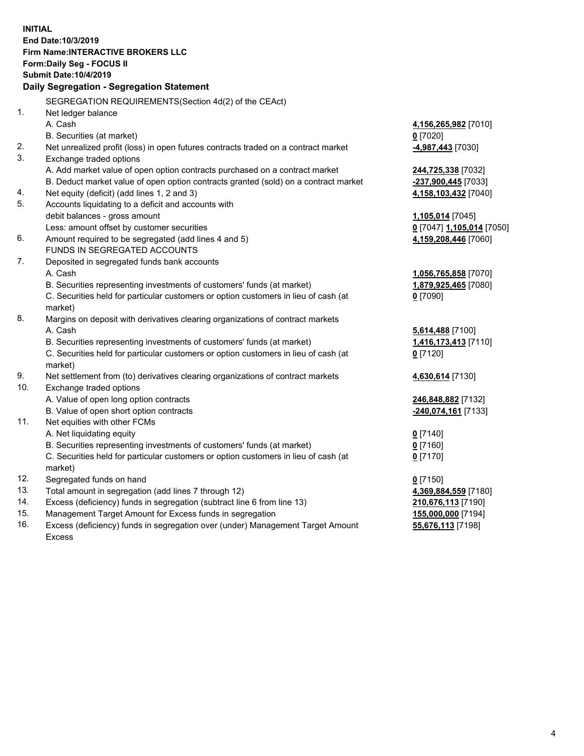**INITIAL End Date:10/3/2019 Firm Name:INTERACTIVE BROKERS LLC Form:Daily Seg - FOCUS II Submit Date:10/4/2019 Daily Segregation - Segregation Statement** SEGREGATION REQUIREMENTS(Section 4d(2) of the CEAct) 1. Net ledger balance A. Cash **4,156,265,982** [7010] B. Securities (at market) **0** [7020] 2. Net unrealized profit (loss) in open futures contracts traded on a contract market **-4,987,443** [7030] 3. Exchange traded options A. Add market value of open option contracts purchased on a contract market **244,725,338** [7032] B. Deduct market value of open option contracts granted (sold) on a contract market **-237,900,445** [7033] 4. Net equity (deficit) (add lines 1, 2 and 3) **4,158,103,432** [7040] 5. Accounts liquidating to a deficit and accounts with debit balances - gross amount **1,105,014** [7045] Less: amount offset by customer securities **0** [7047] **1,105,014** [7050] 6. Amount required to be segregated (add lines 4 and 5) **4,159,208,446** [7060] FUNDS IN SEGREGATED ACCOUNTS 7. Deposited in segregated funds bank accounts A. Cash **1,056,765,858** [7070] B. Securities representing investments of customers' funds (at market) **1,879,925,465** [7080] C. Securities held for particular customers or option customers in lieu of cash (at market) **0** [7090] 8. Margins on deposit with derivatives clearing organizations of contract markets A. Cash **5,614,488** [7100] B. Securities representing investments of customers' funds (at market) **1,416,173,413** [7110] C. Securities held for particular customers or option customers in lieu of cash (at market) **0** [7120] 9. Net settlement from (to) derivatives clearing organizations of contract markets **4,630,614** [7130] 10. Exchange traded options A. Value of open long option contracts **246,848,882** [7132] B. Value of open short option contracts **-240,074,161** [7133] 11. Net equities with other FCMs A. Net liquidating equity **0** [7140] B. Securities representing investments of customers' funds (at market) **0** [7160] C. Securities held for particular customers or option customers in lieu of cash (at market) **0** [7170] 12. Segregated funds on hand **0** [7150] 13. Total amount in segregation (add lines 7 through 12) **4,369,884,559** [7180] 14. Excess (deficiency) funds in segregation (subtract line 6 from line 13) **210,676,113** [7190] 15. Management Target Amount for Excess funds in segregation **155,000,000** [7194]

16. Excess (deficiency) funds in segregation over (under) Management Target Amount Excess

**55,676,113** [7198]